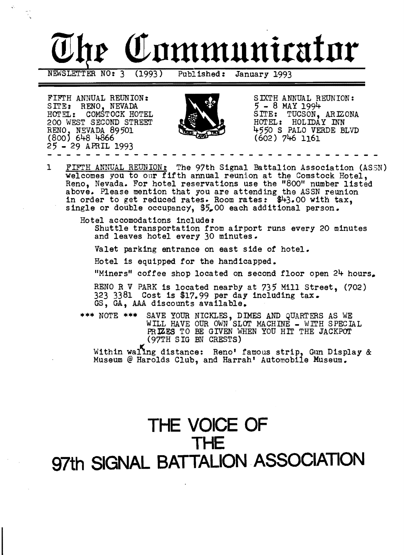

- - - - - - - - - - - - - - - - - - - - - - - - - - - - - FIFTH ANNUAL REUNION:<br>SITE: RENO, NEVADA  $\begin{matrix} 9/2 & 5 & \text{EXTH} & \text{ANNUAL} & \text{REUNION:} \\ 7-8 & \text{MAX} & 1994 & \end{matrix}$ SITE: RENO, NEVADA 200 WEST SECOND STREET HOTEL: COMŚTOCK HOTEL  $(800)$  648 4866 (602) 746 1161 25 - 29 APRIL 1993



- - - - -

SITE: TUCSÓN, ARIZONA<br>HOTEL: HOLIDAY INN HOTEL: HOLIDAY INN<br>4550 S PALO VERDE BLVD RENO, NEVADA 89501 4550 S PALO VERDE BLVD

1 FIFTH ANNUAL REUNION: The 97th Signal Battalion Association (ASSN) welcomes you to our fifth annual reunion at the Comstock Hotel, Reno, Nevada. For hotel reservations use the "800" number listed above. Please mention that you are attending the ASSN reunion in order to get reduced rates. Room rates: \$43.00 with tax, single or double occupancy, \$5,00 each additional person.

Hotel accomodations include: Shuttle transportation from airport runs every 20 minutes and leaves hotel every 30 minutes.

Valet parking entrance on east side of hotel.

Hotel is equipped for the handicapped.

"Miners" coffee shop located on second floor open  $24$  hours.

RENO R V PARK is located nearby at 735 Mill Street, (702) 323 3381 Cost is \$17.99 per day including tax. GS, GA, AAA discounts available.

\*\*\* NOTE \*\*\* SAVE YOUR NICKLES, DIMES AND QUARTERS AS WE WILL HAVE OUR OWN SLOT MACHINE - WITH SPECIAL PRIZES TO BE GIVEN WHEN YOU HIT THE JACKPOT (97TH SIG BN CRESTS)

Within waling distance: Reno' famous strip, Gun Display & Museum @ Harolds Club, and Harrah' Automobile Museum.

## **THE VOICE OF THE 97th SIGNAL BATTALION ASSOCIATION**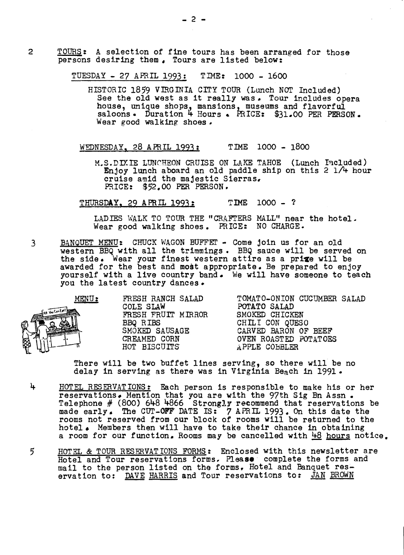2 **TOURS:** A selection of fine tours has been arranged for those persons desiring them. Tours are listed below:

TUESDAY - 27 APRIL 1993: TIME: 1000 - 1600

HISTORIC 1859 VIRGINIA CITY TOUR (Lunch NOT Included) See the old west as it really was. Tour includes opera house, unique shops, mansions, museums and flavorful saloons. Duration 4 Hours. PRICE: \$31.00 PER PERSON. Wear good walking shoes.

WEDNESDAY, 28 APRIL 1993: TIME 1000 - 1800

M.S.DIY.IE LUNCHEON CRUISE ON LAKE TAHOE (Lunch Included) Enjoy lunch aboard an old paddle ship on this 2 l/4 hour cruise amid the majestic Sierras, PRICE: \$52.00 PER PERSON.

THURSDAY, 29 APRIL 1993: TIME 1000 - ?

LADIES WALK TO TOUR THE "CRAFTERS MALL" near the hotel.<br>Wear good walking shoes. PRICE: NO CHARGE.

3 BANQUET MENU: CHUCK WAGON BUFFET - Come join us for an old western BBQ with all the trimmings. BBQ sauce will be served on the side. Wear your finest western attire as a prixe will be awarded for the best and most appropriate. Be prepared to enjoy yourself with a live country band. We will have someone to teach you the latest country dances.



FRESH FRUIT MIRROR SMOKED CHICKEN<br>BBQ RIBS CHILI CON QUESO

MENU: FRESH RANCH SALAD TOMATO-ONION CUCUMBER SALAD<br>COLE SLAW POTATO SALAD POTATO SALAD<br>SMOKED CHICKEN SMOKED SAUSAGE CARVED BARON OF BEEF<br>CREAMED CORN OVEN ROASTED POTATOES CREAMED CORN OVEN ROASTED POTATOES<br>
HOT BISCUITS APPLE COBBLER APPLE COBBLER

There will be two buffet lines serving, so there will be no delay in serving as there was in Virginia Beach in 1991.

- 4 HOTEL RESERVATIONS: Each person is responsible to make his or her reservations. Mention that you are with the 97th Sig Bn Assn. Telephone  $#$  (800) 648 4866 Strongly recommend that reservations be made early. The CUT-OFF' DATE IS: 7 APRIL 1993. On this date the rooms not reserved from our block of rooms will be returned to the hotel. Members then will have to take their chance in obtaining a room for our function. Rooms may be cancelled with  $48$  hours notice.
- 5 HOTEL & TOUR RESERVAT IONS FORMS: Enclosed with this newsletter are Hotel and Tour reservations forms, Please complete the forms and mail to the person listed on the forms, Hotel and Banquet reservation to: <u>DAVE HARRIS</u> and Tour reservations to: JAN BROWN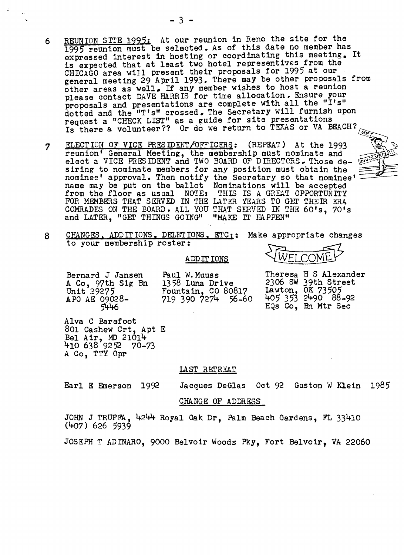- 6 REUNION SITE 1995: At our reunion in Reno the site for the 1995 reunion must be selected. As of this date no member has expressed interest in hosting or coordinating this meeting. It is expected that at least two hotel representives from the general meeting 29 April 1993. There may be other proposals from other areas as well. If any member wishes to host a reunion<br>please contact DAVE HARRIS for time allocation. Ensure your proposals and presentations are complete with all the "I's" dotted and the "T's" crossed. The Secretary will furnish upon request a "CHECK LIST" as a guide for site presentations proposals and presentations are complete with all the<br>dotted and the "T's" crossed. The Secretary will furn<br>request a "CHECK LIST" as a guide for site presentat:<br>Is there a volunteer?? Or do we return to TEXAS or \<br>ELECTIO
- 7 t:: ::H? <sup>~</sup>reunion I General Meeting, the membership must nominate and \/€: \\\ elect a VICE PRESIDENT and TWO BOARD OF DIRECTORS, Those desiring to nominate members for any position must obtain the nominee' approval. Then notify the Secretary so that nominee name may approval. be put on Then Then notify the Secretary so<br>the ballot Nominations will be that ate and<br>Those de-<br>
tain the<br>
t nominee'  $\frac{1}{\sqrt{2\pi}}$ <br>
accepted from the floor as usual NOTE: THIS IS A GREAT OPPORTUNITY FOR MEMBERS THAT SERVED IN THE LATER YEARS TO GET THEIR ERA COMRADES ON THE BOARD. ALL YOU THAT SERVED IN THE 60's, 70's and LATER, "GET THINGS GOING" "MAKE IT HAPPEN"



#### ADD IT IONS

88-92 APO AE 09028<br>5446 5446 5446 HQs Co, Bn Mtr Sec

A Co, 97th Sig Bn 1358 Luna Drive 2306 SW 39th Street<br>Unit 29275 Fountain, CO 80817 Lawton, OK 73505<br>APO AE 09028- 719 390 7274 56-60 405 353 2490 88-92 Unit 29275 Fountain, CO 80817 Lawton, OK 73505

Bernard J Jansen Paul W. Muuss Theresa H S Alexander<br>A Co. 97th Sig Bn 1358 Luna Drive 2306 SW 39th Street APO AE 09028- 719 390 7274 56-60 405 353 2490 88-92

Alva C Barefoot 801 Cashew Crt, Apt E Bel Air, MD 21014  $410\,638\,92\,72\,70-73$ A Co, TTY Opr

#### LAST RETREAT

Earl E Emerson 1992 Jacques DeGlas Oct 92 Guston W Klein 1985

### CHANGE OF ADDRESS

JOHN J TRUFFA, 4244 Royal Oak Dr, Palm Beach Gardens, FL 33410 (407) 626 5939

JOSEPH T ADINARO, 9000 Belvoir Woods Pky, Fort Belvoir, VA 22060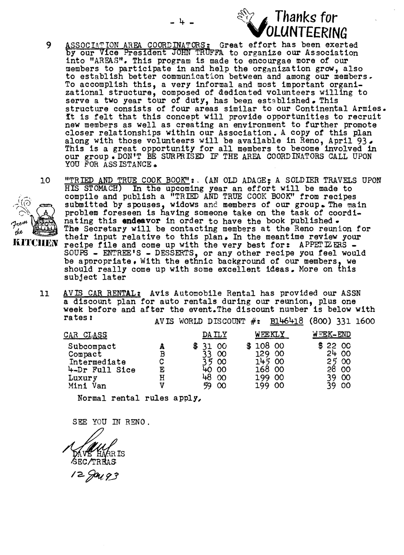

- 9 ASSOCIATION AREA COORDINATORS: Great effort has been exerted by our Vice President JOHN TRUFFA to organize our Association into "AREAS". This program is made to encourgae more of our members to participate in and help the organization grow, also to establish better communication between and among our members, To accomplish this, a very informal and most important organi-<br>zational structure, composed of dedicated volunteers willing to serve a two year tour of duty, has been established. This structure consists of four areas similar to our Continental Armies. It is felt that this concept will provide opportunities to recruit new members as well as creating an environment to further promote new members as well as creating an environment to further promote closer relationships within our Association. A copy of this plan along with those volunteers will be available in Reno, April 93. This is a great opportunity for all members to become involved in our group. DON'T BE SURPRISED IF THE AREA. COORDINATORS CALL UPON YOU FOR ASSISTANCE.
- 10 "TRIED AND TRUE COOK BOOK":. (AN OLD ADAGE; A SOLDIER TRAVELS UPON HIS STOMACH) In the upcoming year an effort will be made to compile and publish a "TRIED AND TRUE COOK BOOK" from recipes submitted by spouses, widows and members of our group. The main submitted by spouses, widows and members of our group. The main problem foreseen is having someone take on the task of coordi-<br>nating this **endeavor** in order to have the book published. The Secretary will be contacting members at the Reno reunion for their input relative to this plan. In the meantime review your recipe file and come up with the very best for: APPETIZERS -SOUPS - ENTREE'S - DESSERTS', or any other recipe you feel would be appropriate. With the ethnic background of our members, we should really come up with some excellent ideas. More on this subject later
- 11 AVIS CAR RENTAL: Avis Automobile Rental has provided our ASSN a discount plan for auto rentals during our reunion, plus one week before and after the event. The discount number is below with<br>rates:<br> $\frac{1}{2}$   $\frac{1}{2}$   $\frac{1}{2}$   $\frac{1}{2}$   $\frac{1}{2}$   $\frac{1}{2}$   $\frac{1}{2}$   $\frac{1}{2}$   $\frac{1}{2}$   $\frac{1}{2}$ AVIS WORLD DISCOUNT  $#$ : B146418 (800) 331 1600

| <u>CAR CLASS</u>               |        | DA ILY                     | WEEKLY           | WEEK-END       |
|--------------------------------|--------|----------------------------|------------------|----------------|
| Subcompact<br>Compact          | В      | <b>OO</b><br>£<br>$\infty$ | 108 00<br>129 00 | 22 00<br>2400  |
| Intermediate<br>4-Dr Full Sice | C<br>Ε | - 00<br>40 00              | 145 00<br>168 00 | 25 00<br>28 00 |
| Luxury                         | H      | 48<br>$\infty$             | 199 00           | 39.<br>- 00    |
| Mini Van                       |        | 59<br>$\infty$             | 199 00           | 39<br>- 00     |

Normal rental rules apply,

SEE YOU IN RENO.

12 Jan 93

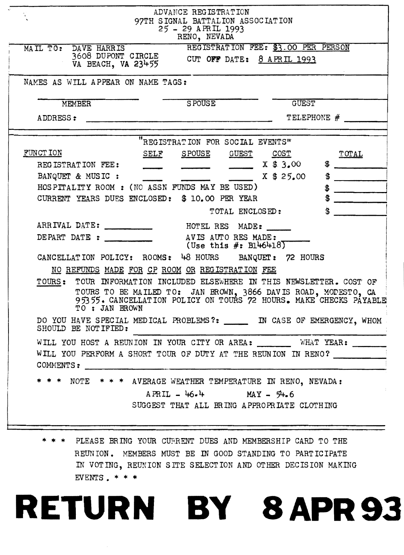|                                                                                                                                           | ADVANCE REGISTRATION<br>97TH SIGNAL BATTALION ASSOCIATION<br>25 - 29 APRIL 1993<br>RENO, NEVADA                    |                                                                                                                                 |
|-------------------------------------------------------------------------------------------------------------------------------------------|--------------------------------------------------------------------------------------------------------------------|---------------------------------------------------------------------------------------------------------------------------------|
| DAVE HARRIS<br>MAIL TO:<br>3608 DUPONT CIRCLE CUT OFF DATE: 8 APRIL 1993<br>VA BEACH, VA 23455                                            |                                                                                                                    | REGISTRATION FEE: \$3.00 PER PERSON                                                                                             |
| NAMES AS WILL APPEAR ON NAME TAGS:                                                                                                        |                                                                                                                    |                                                                                                                                 |
| MEMBER                                                                                                                                    | SPOUSE                                                                                                             | <b>GUEST</b>                                                                                                                    |
| ADDRESS:                                                                                                                                  | .<br>1979-1980 1974 - Martin 1970-1981 - Martin Martin 1980-1980 - Martin 1980 - Martin 1980 - Martin 1980 - Marti | TELEPHONE #                                                                                                                     |
|                                                                                                                                           | "REGISTRATION FOR SOCIAL EVENTS"                                                                                   |                                                                                                                                 |
| FUNCT ION<br><u>SELF</u>                                                                                                                  | SPOUSE GUEST COST                                                                                                  | TOTAL                                                                                                                           |
| REGISTRATION FEE:                                                                                                                         |                                                                                                                    | X \$3.00                                                                                                                        |
| BANQUET & MUSIC :                                                                                                                         |                                                                                                                    | \$<br>X \$25.00                                                                                                                 |
| HOSPITALITY ROOM : (NO ASSN FUNDS MAY BE USED)                                                                                            |                                                                                                                    | $\clubsuit$                                                                                                                     |
| CURRENT YEARS DUES ENCLOSED: \$ 10.00 PER YEAR                                                                                            |                                                                                                                    |                                                                                                                                 |
|                                                                                                                                           | TOTAL ENCLOSED:                                                                                                    | \$                                                                                                                              |
| ARRIVAL DATE:                                                                                                                             | HOTEL RES MADE:                                                                                                    |                                                                                                                                 |
| DEPART DATE : ________                                                                                                                    | AVIS AUTO RES MADE:<br>(Use this $#:$ B146418)                                                                     |                                                                                                                                 |
| CANCELLATION POLICY: ROOMS: 48 HOURS BANQUET: 72 HOURS                                                                                    |                                                                                                                    |                                                                                                                                 |
| NO REFUNDS MADE FOR CP ROOM OR REGISTRATION FEE                                                                                           |                                                                                                                    |                                                                                                                                 |
| TOURS: TOUR INFORMATION INCLUDED ELSEWHERE IN THIS NEWSLETTER. COST OF<br>TO: JAN BROWN                                                   |                                                                                                                    | TOURS TO BE MAILED TO: JAN BROWN, 3866 DAVIS ROAD, MODESTO, CA 3535. CANCELLATION POLICY ON TOURS 72 HOURS. MAKE CHECKS PAYABLE |
| DO YOU HAVE SPECIAL MEDICAL PROBLEMS?: ______ IN CASE OF EMERGENCY, WHOM<br>SHOULD BE NOTIFIED:                                           |                                                                                                                    |                                                                                                                                 |
| WILL YOU HOST A REUNION IN YOUR CITY OR AREA: WHAT YEAR: ______<br>WILL YOU PERFORM A SHORT TOUR OF DUTY AT THE REUNION IN RENO? ________ |                                                                                                                    |                                                                                                                                 |
| * * * NOTE * * * AVERAGE WEATHER TEMPERATURE IN RENO, NEVADA:                                                                             |                                                                                                                    |                                                                                                                                 |
|                                                                                                                                           | $APRIL - 46.4$ MAY - $54.6$<br>SUGGEST THAT ALL BRING APPROPRIATE CLOTHING                                         |                                                                                                                                 |
|                                                                                                                                           |                                                                                                                    |                                                                                                                                 |

\* \* \* PLEASE BRING YOUR CURRENT DUES AND MEMBERSHIP CARD TO THE REUNION. MEMBERS MUST BE IN GOOD STANDING TO PARTICIPATE IN VOTING, REUNION SITE SELECTION AND OTHER DECISION MAKING EVENTS. \* \* \*

# RETURN BY 8APR93